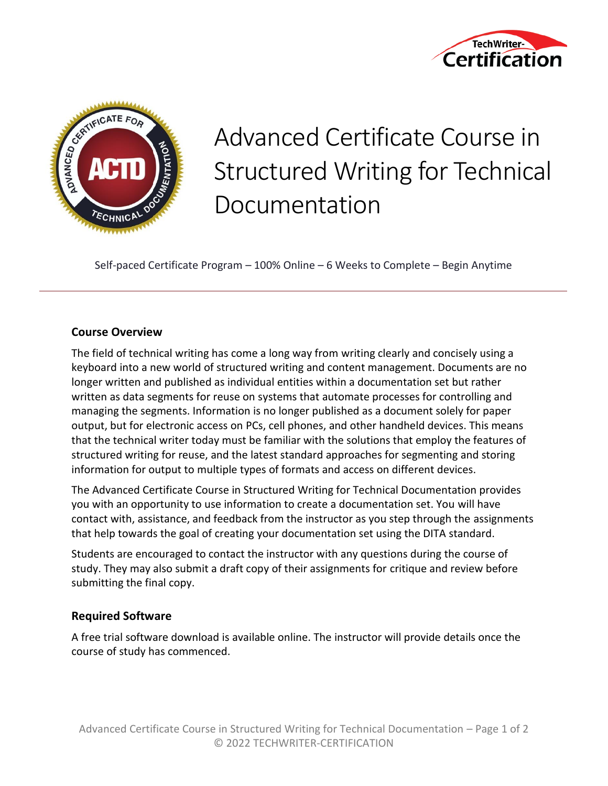



# Advanced Certificate Course in Structured Writing for Technical Documentation

Self-paced Certificate Program – 100% Online – 6 Weeks to Complete – Begin Anytime

#### **Course Overview**

The field of technical writing has come a long way from writing clearly and concisely using a keyboard into a new world of structured writing and content management. Documents are no longer written and published as individual entities within a documentation set but rather written as data segments for reuse on systems that automate processes for controlling and managing the segments. Information is no longer published as a document solely for paper output, but for electronic access on PCs, cell phones, and other handheld devices. This means that the technical writer today must be familiar with the solutions that employ the features of structured writing for reuse, and the latest standard approaches for segmenting and storing information for output to multiple types of formats and access on different devices.

The Advanced Certificate Course in Structured Writing for Technical Documentation provides you with an opportunity to use information to create a documentation set. You will have contact with, assistance, and feedback from the instructor as you step through the assignments that help towards the goal of creating your documentation set using the DITA standard.

Students are encouraged to contact the instructor with any questions during the course of study. They may also submit a draft copy of their assignments for critique and review before submitting the final copy.

#### **Required Software**

A free trial software download is available online. The instructor will provide details once the course of study has commenced.